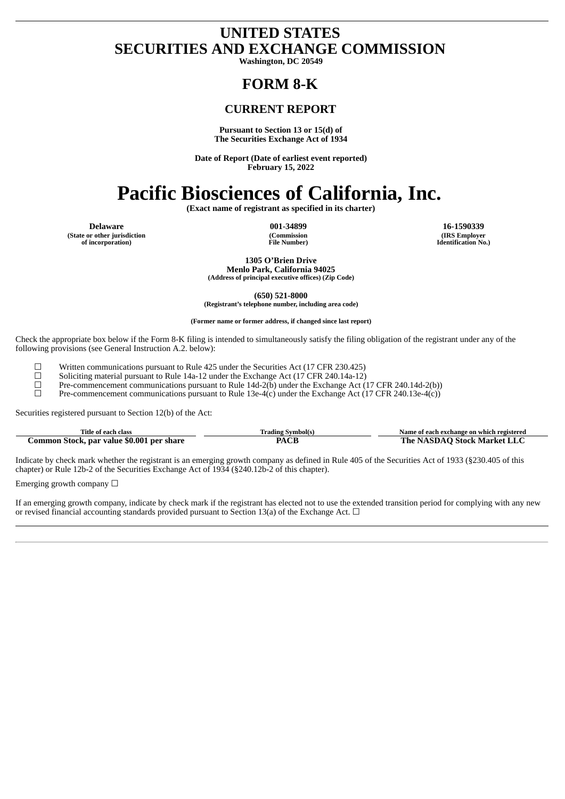# **UNITED STATES SECURITIES AND EXCHANGE COMMISSION**

**Washington, DC 20549**

# **FORM 8-K**

# **CURRENT REPORT**

#### **Pursuant to Section 13 or 15(d) of The Securities Exchange Act of 1934**

**Date of Report (Date of earliest event reported) February 15, 2022**

# **Pacific Biosciences of California, Inc.**

**(Exact name of registrant as specified in its charter)**

**(State or other jurisdiction of incorporation)**

**(Commission File Number)**

**Delaware 001-34899 16-1590339 (IRS Employer Identification No.)**

> **1305 O'Brien Drive Menlo Park, California 94025 (Address of principal executive offices) (Zip Code)**

**(650) 521-8000 (Registrant's telephone number, including area code)**

**(Former name or former address, if changed since last report)**

Check the appropriate box below if the Form 8-K filing is intended to simultaneously satisfy the filing obligation of the registrant under any of the following provisions (see General Instruction A.2. below):

 $\Box$  Written communications pursuant to Rule 425 under the Securities Act (17 CFR 230.425) Soliciting material pursuant to Rule 14a-12 under the Exchange Act (17 CFR 240.14a-12)

<del>□</del> Soliciting material pursuant to Rule 14a-12 under the Exchange Act (17 CFR 240.14a-12)<br>Pre-commencement communications pursuant to Rule 14d-2(b) under the Exchange Act (

 $\Box$  Pre-commencement communications pursuant to Rule 14d-2(b) under the Exchange Act (17 CFR 240.14d-2(b))<br>Pre-commencement communications pursuant to Rule 13e-4(c) under the Exchange Act (17 CFR 240.13e-4(c))

Pre-commencement communications pursuant to Rule 13e-4(c) under the Exchange Act (17 CFR 240.13e-4(c))

Securities registered pursuant to Section 12(b) of the Act:

| Title of each class                       | Trading Svmbol(s) | Name of each exchange on which registered |  |  |  |
|-------------------------------------------|-------------------|-------------------------------------------|--|--|--|
| Common Stock, par value \$0.001 per share | PACE              | The NASDAO Stock Market LLC               |  |  |  |

Indicate by check mark whether the registrant is an emerging growth company as defined in Rule 405 of the Securities Act of 1933 (§230.405 of this chapter) or Rule 12b-2 of the Securities Exchange Act of 1934 (§240.12b-2 of this chapter).

Emerging growth company  $\Box$ 

If an emerging growth company, indicate by check mark if the registrant has elected not to use the extended transition period for complying with any new or revised financial accounting standards provided pursuant to Section 13(a) of the Exchange Act.  $\Box$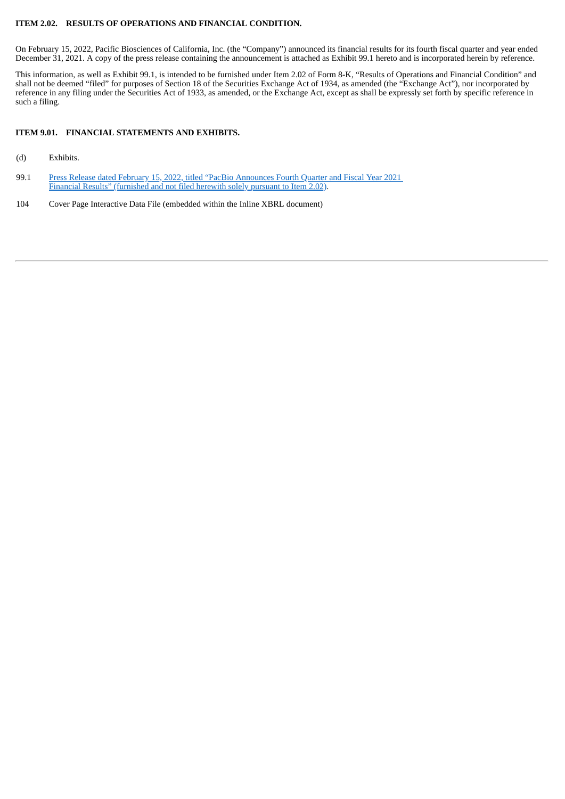#### **ITEM 2.02. RESULTS OF OPERATIONS AND FINANCIAL CONDITION.**

On February 15, 2022, Pacific Biosciences of California, Inc. (the "Company") announced its financial results for its fourth fiscal quarter and year ended December 31, 2021. A copy of the press release containing the announcement is attached as Exhibit 99.1 hereto and is incorporated herein by reference.

This information, as well as Exhibit 99.1, is intended to be furnished under Item 2.02 of Form 8-K, "Results of Operations and Financial Condition" and shall not be deemed "filed" for purposes of Section 18 of the Securities Exchange Act of 1934, as amended (the "Exchange Act"), nor incorporated by reference in any filing under the Securities Act of 1933, as amended, or the Exchange Act, except as shall be expressly set forth by specific reference in such a filing.

## **ITEM 9.01. FINANCIAL STATEMENTS AND EXHIBITS.**

- (d) Exhibits.
- 99.1 Press Release dated February 15, 2022, titled "PacBio [Announces](#page-3-0) Fourth Quarter and Fiscal Year 2021 Financial Results" (furnished and not filed herewith solely pursuant to Item 2.02).
- 104 Cover Page Interactive Data File (embedded within the Inline XBRL document)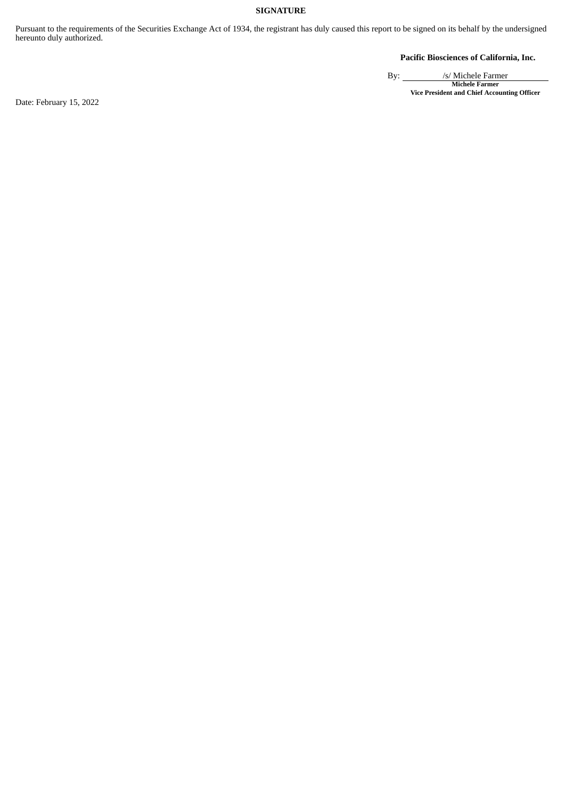# **SIGNATURE**

Pursuant to the requirements of the Securities Exchange Act of 1934, the registrant has duly caused this report to be signed on its behalf by the undersigned hereunto duly authorized.

**Pacific Biosciences of California, Inc.**

By: /s/ Michele Farmer **Michele Farmer Vice President and Chief Accounting Officer**

Date: February 15, 2022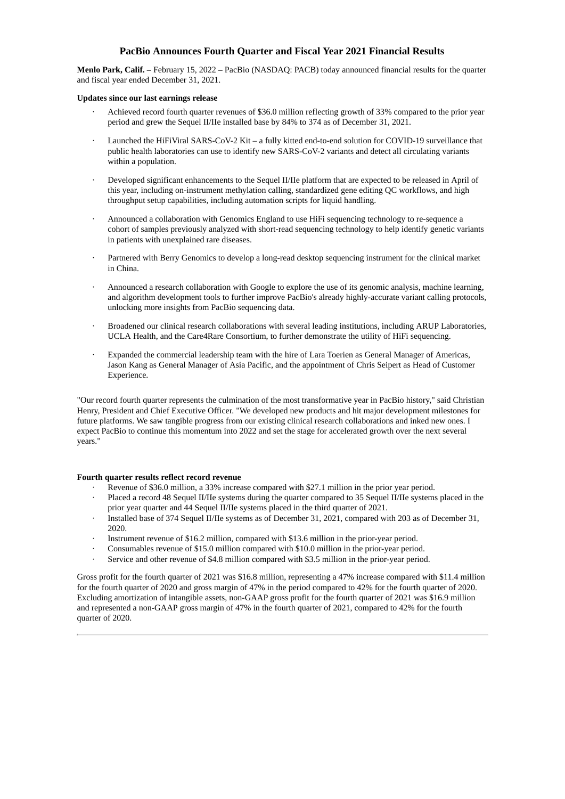# **PacBio Announces Fourth Quarter and Fiscal Year 2021 Financial Results**

<span id="page-3-0"></span>**Menlo Park, Calif.** – February 15, 2022 – PacBio (NASDAQ: PACB) today announced financial results for the quarter and fiscal year ended December 31, 2021.

#### **Updates since our last earnings release**

- Achieved record fourth quarter revenues of \$36.0 million reflecting growth of 33% compared to the prior year period and grew the Sequel II/IIe installed base by 84% to 374 as of December 31, 2021.
- · Launched the HiFiViral SARS-CoV-2 Kit a fully kitted end-to-end solution for COVID-19 surveillance that public health laboratories can use to identify new SARS-CoV-2 variants and detect all circulating variants within a population.
- Developed significant enhancements to the Sequel II/IIe platform that are expected to be released in April of this year, including on-instrument methylation calling, standardized gene editing QC workflows, and high throughput setup capabilities, including automation scripts for liquid handling.
- · Announced a collaboration with Genomics England to use HiFi sequencing technology to re-sequence a cohort of samples previously analyzed with short-read sequencing technology to help identify genetic variants in patients with unexplained rare diseases.
- · Partnered with Berry Genomics to develop a long-read desktop sequencing instrument for the clinical market in China.
- · Announced a research collaboration with Google to explore the use of its genomic analysis, machine learning, and algorithm development tools to further improve PacBio's already highly-accurate variant calling protocols, unlocking more insights from PacBio sequencing data.
- · Broadened our clinical research collaborations with several leading institutions, including ARUP Laboratories, UCLA Health, and the Care4Rare Consortium, to further demonstrate the utility of HiFi sequencing.
- Expanded the commercial leadership team with the hire of Lara Toerien as General Manager of Americas, Jason Kang as General Manager of Asia Pacific, and the appointment of Chris Seipert as Head of Customer Experience.

"Our record fourth quarter represents the culmination of the most transformative year in PacBio history," said Christian Henry, President and Chief Executive Officer. "We developed new products and hit major development milestones for future platforms. We saw tangible progress from our existing clinical research collaborations and inked new ones. I expect PacBio to continue this momentum into 2022 and set the stage for accelerated growth over the next several years."

#### **Fourth quarter results reflect record revenue**

- Revenue of \$36.0 million, a 33% increase compared with \$27.1 million in the prior year period.
- Placed a record 48 Sequel II/IIe systems during the quarter compared to 35 Sequel II/IIe systems placed in the prior year quarter and 44 Sequel II/IIe systems placed in the third quarter of 2021.
- · Installed base of 374 Sequel II/IIe systems as of December 31, 2021, compared with 203 as of December 31, 2020.
- Instrument revenue of \$16.2 million, compared with \$13.6 million in the prior-year period.
- Consumables revenue of \$15.0 million compared with \$10.0 million in the prior-year period.
- Service and other revenue of \$4.8 million compared with \$3.5 million in the prior-year period.

Gross profit for the fourth quarter of 2021 was \$16.8 million, representing a 47% increase compared with \$11.4 million for the fourth quarter of 2020 and gross margin of 47% in the period compared to 42% for the fourth quarter of 2020. Excluding amortization of intangible assets, non-GAAP gross profit for the fourth quarter of 2021 was \$16.9 million and represented a non-GAAP gross margin of 47% in the fourth quarter of 2021, compared to 42% for the fourth quarter of 2020.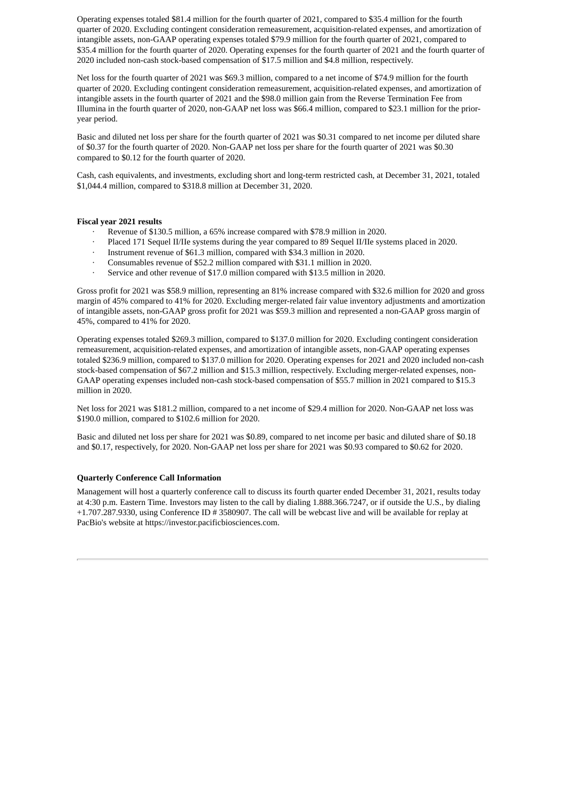Operating expenses totaled \$81.4 million for the fourth quarter of 2021, compared to \$35.4 million for the fourth quarter of 2020. Excluding contingent consideration remeasurement, acquisition-related expenses, and amortization of intangible assets, non-GAAP operating expenses totaled \$79.9 million for the fourth quarter of 2021, compared to \$35.4 million for the fourth quarter of 2020. Operating expenses for the fourth quarter of 2021 and the fourth quarter of 2020 included non-cash stock-based compensation of \$17.5 million and \$4.8 million, respectively.

Net loss for the fourth quarter of 2021 was \$69.3 million, compared to a net income of \$74.9 million for the fourth quarter of 2020. Excluding contingent consideration remeasurement, acquisition-related expenses, and amortization of intangible assets in the fourth quarter of 2021 and the \$98.0 million gain from the Reverse Termination Fee from Illumina in the fourth quarter of 2020, non-GAAP net loss was \$66.4 million, compared to \$23.1 million for the prioryear period.

Basic and diluted net loss per share for the fourth quarter of 2021 was \$0.31 compared to net income per diluted share of \$0.37 for the fourth quarter of 2020. Non-GAAP net loss per share for the fourth quarter of 2021 was \$0.30 compared to \$0.12 for the fourth quarter of 2020.

Cash, cash equivalents, and investments, excluding short and long-term restricted cash, at December 31, 2021, totaled \$1,044.4 million, compared to \$318.8 million at December 31, 2020.

#### **Fiscal year 2021 results**

- Revenue of \$130.5 million, a 65% increase compared with \$78.9 million in 2020.
- · Placed 171 Sequel II/IIe systems during the year compared to 89 Sequel II/IIe systems placed in 2020.
- · Instrument revenue of \$61.3 million, compared with \$34.3 million in 2020.
- · Consumables revenue of \$52.2 million compared with \$31.1 million in 2020.
- Service and other revenue of \$17.0 million compared with \$13.5 million in 2020.

Gross profit for 2021 was \$58.9 million, representing an 81% increase compared with \$32.6 million for 2020 and gross margin of 45% compared to 41% for 2020. Excluding merger-related fair value inventory adjustments and amortization of intangible assets, non-GAAP gross profit for 2021 was \$59.3 million and represented a non-GAAP gross margin of 45%, compared to 41% for 2020.

Operating expenses totaled \$269.3 million, compared to \$137.0 million for 2020. Excluding contingent consideration remeasurement, acquisition-related expenses, and amortization of intangible assets, non-GAAP operating expenses totaled \$236.9 million, compared to \$137.0 million for 2020. Operating expenses for 2021 and 2020 included non-cash stock-based compensation of \$67.2 million and \$15.3 million, respectively. Excluding merger-related expenses, non-GAAP operating expenses included non-cash stock-based compensation of \$55.7 million in 2021 compared to \$15.3 million in 2020.

Net loss for 2021 was \$181.2 million, compared to a net income of \$29.4 million for 2020. Non-GAAP net loss was \$190.0 million, compared to \$102.6 million for 2020.

Basic and diluted net loss per share for 2021 was \$0.89, compared to net income per basic and diluted share of \$0.18 and \$0.17, respectively, for 2020. Non-GAAP net loss per share for 2021 was \$0.93 compared to \$0.62 for 2020.

#### **Quarterly Conference Call Information**

Management will host a quarterly conference call to discuss its fourth quarter ended December 31, 2021, results today at 4:30 p.m. Eastern Time. Investors may listen to the call by dialing 1.888.366.7247, or if outside the U.S., by dialing +1.707.287.9330, using Conference ID # 3580907. The call will be webcast live and will be available for replay at PacBio's website at https://investor.pacificbiosciences.com.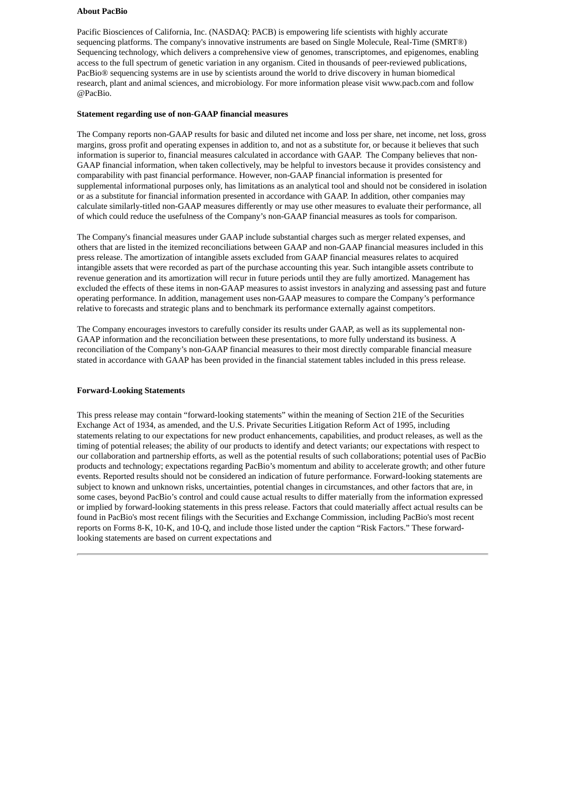#### **About PacBio**

Pacific Biosciences of California, Inc. (NASDAQ: PACB) is empowering life scientists with highly accurate sequencing platforms. The company's innovative instruments are based on Single Molecule, Real-Time (SMRT®) Sequencing technology, which delivers a comprehensive view of genomes, transcriptomes, and epigenomes, enabling access to the full spectrum of genetic variation in any organism. Cited in thousands of peer-reviewed publications, PacBio® sequencing systems are in use by scientists around the world to drive discovery in human biomedical research, plant and animal sciences, and microbiology. For more information please visit www.pacb.com and follow @PacBio.

#### **Statement regarding use of non‐GAAP financial measures**

The Company reports non-GAAP results for basic and diluted net income and loss per share, net income, net loss, gross margins, gross profit and operating expenses in addition to, and not as a substitute for, or because it believes that such information is superior to, financial measures calculated in accordance with GAAP. The Company believes that non-GAAP financial information, when taken collectively, may be helpful to investors because it provides consistency and comparability with past financial performance. However, non-GAAP financial information is presented for supplemental informational purposes only, has limitations as an analytical tool and should not be considered in isolation or as a substitute for financial information presented in accordance with GAAP. In addition, other companies may calculate similarly-titled non-GAAP measures differently or may use other measures to evaluate their performance, all of which could reduce the usefulness of the Company's non-GAAP financial measures as tools for comparison.

The Company's financial measures under GAAP include substantial charges such as merger related expenses, and others that are listed in the itemized reconciliations between GAAP and non‐GAAP financial measures included in this press release. The amortization of intangible assets excluded from GAAP financial measures relates to acquired intangible assets that were recorded as part of the purchase accounting this year. Such intangible assets contribute to revenue generation and its amortization will recur in future periods until they are fully amortized. Management has excluded the effects of these items in non‐GAAP measures to assist investors in analyzing and assessing past and future operating performance. In addition, management uses non-GAAP measures to compare the Company's performance relative to forecasts and strategic plans and to benchmark its performance externally against competitors.

The Company encourages investors to carefully consider its results under GAAP, as well as its supplemental non-GAAP information and the reconciliation between these presentations, to more fully understand its business. A reconciliation of the Company's non-GAAP financial measures to their most directly comparable financial measure stated in accordance with GAAP has been provided in the financial statement tables included in this press release.

#### **Forward-Looking Statements**

This press release may contain "forward-looking statements" within the meaning of Section 21E of the Securities Exchange Act of 1934, as amended, and the U.S. Private Securities Litigation Reform Act of 1995, including statements relating to our expectations for new product enhancements, capabilities, and product releases, as well as the timing of potential releases; the ability of our products to identify and detect variants; our expectations with respect to our collaboration and partnership efforts, as well as the potential results of such collaborations; potential uses of PacBio products and technology; expectations regarding PacBio's momentum and ability to accelerate growth; and other future events. Reported results should not be considered an indication of future performance. Forward-looking statements are subject to known and unknown risks, uncertainties, potential changes in circumstances, and other factors that are, in some cases, beyond PacBio's control and could cause actual results to differ materially from the information expressed or implied by forward-looking statements in this press release. Factors that could materially affect actual results can be found in PacBio's most recent filings with the Securities and Exchange Commission, including PacBio's most recent reports on Forms 8-K, 10-K, and 10-Q, and include those listed under the caption "Risk Factors." These forwardlooking statements are based on current expectations and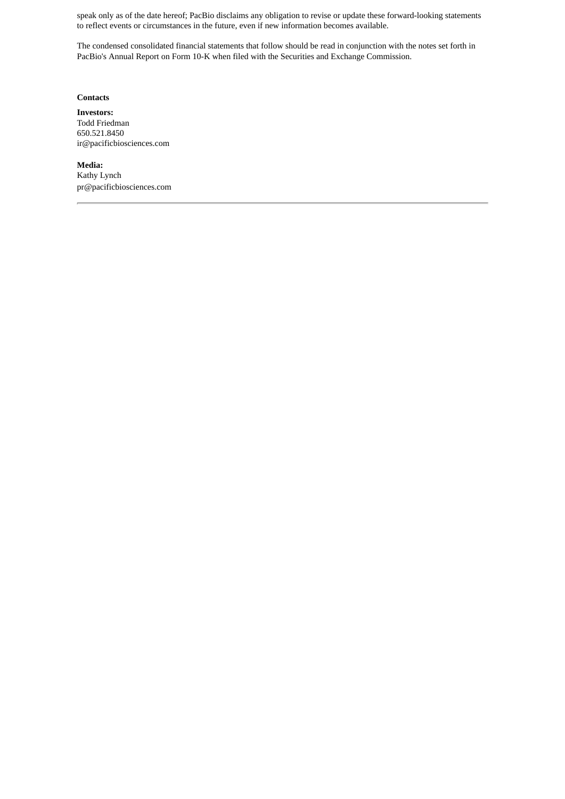speak only as of the date hereof; PacBio disclaims any obligation to revise or update these forward-looking statements to reflect events or circumstances in the future, even if new information becomes available.

The condensed consolidated financial statements that follow should be read in conjunction with the notes set forth in PacBio's Annual Report on Form 10-K when filed with the Securities and Exchange Commission.

# **Contacts**

**Investors:** Todd Friedman 650.521.8450 ir@pacificbiosciences.com

**Media:** Kathy Lynch pr@pacificbiosciences.com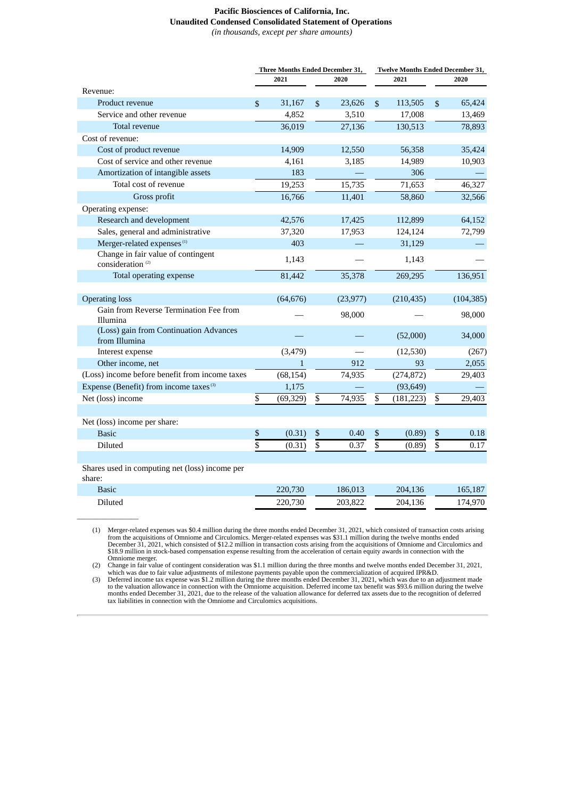# **Pacific Biosciences of California, Inc. Unaudited Condensed Consolidated Statement of Operations**

*(in thousands, except per share amounts)*

|                                                                    | Three Months Ended December 31, |              |                | Twelve Months Ended December 31, |                         |            |                 |            |
|--------------------------------------------------------------------|---------------------------------|--------------|----------------|----------------------------------|-------------------------|------------|-----------------|------------|
|                                                                    | 2021                            |              | 2020           | 2021                             |                         | 2020       |                 |            |
| Revenue:                                                           |                                 |              |                |                                  |                         |            |                 |            |
| Product revenue                                                    | \$                              | 31,167       | $\mathbb{S}$   | 23,626                           | $\mathfrak{S}$          | 113,505    | $\mathbb{S}$    | 65,424     |
| Service and other revenue                                          |                                 | 4,852        |                | 3,510                            |                         | 17,008     |                 | 13,469     |
| Total revenue                                                      |                                 | 36,019       |                | 27,136                           |                         | 130,513    |                 | 78,893     |
| Cost of revenue:                                                   |                                 |              |                |                                  |                         |            |                 |            |
| Cost of product revenue                                            |                                 | 14,909       |                | 12,550                           |                         | 56,358     |                 | 35,424     |
| Cost of service and other revenue                                  |                                 | 4,161        |                | 3,185                            |                         | 14,989     |                 | 10,903     |
| Amortization of intangible assets                                  |                                 | 183          |                |                                  |                         | 306        |                 |            |
| Total cost of revenue                                              |                                 | 19,253       |                | 15,735                           |                         | 71,653     |                 | 46,327     |
| Gross profit                                                       |                                 | 16,766       |                | 11,401                           |                         | 58,860     |                 | 32,566     |
| Operating expense:                                                 |                                 |              |                |                                  |                         |            |                 |            |
| Research and development                                           |                                 | 42,576       |                | 17,425                           |                         | 112,899    |                 | 64,152     |
| Sales, general and administrative                                  |                                 | 37,320       |                | 17,953                           |                         | 124,124    |                 | 72,799     |
| Merger-related expenses <sup>(1)</sup>                             |                                 | 403          |                |                                  |                         | 31,129     |                 |            |
| Change in fair value of contingent<br>consideration <sup>(2)</sup> |                                 | 1,143        |                |                                  |                         | 1,143      |                 |            |
| Total operating expense                                            |                                 | 81,442       |                | 35,378                           |                         | 269,295    |                 | 136,951    |
|                                                                    |                                 |              |                |                                  |                         |            |                 |            |
| <b>Operating loss</b>                                              |                                 | (64, 676)    |                | (23, 977)                        |                         | (210, 435) |                 | (104, 385) |
| Gain from Reverse Termination Fee from<br>Illumina                 |                                 |              |                | 98,000                           |                         |            |                 | 98,000     |
| (Loss) gain from Continuation Advances<br>from Illumina            |                                 |              |                |                                  |                         | (52,000)   |                 | 34,000     |
| Interest expense                                                   |                                 | (3, 479)     |                |                                  |                         | (12,530)   |                 | (267)      |
| Other income, net                                                  |                                 | $\mathbf{1}$ |                | 912                              |                         | 93         |                 | 2,055      |
| (Loss) income before benefit from income taxes                     |                                 | (68, 154)    |                | 74,935                           |                         | (274, 872) |                 | 29,403     |
| Expense (Benefit) from income taxes <sup>(3)</sup>                 |                                 | 1,175        |                |                                  |                         | (93, 649)  |                 |            |
| Net (loss) income                                                  | $\overline{\$}$                 | (69, 329)    | \$             | 74,935                           | $\overline{\mathbb{S}}$ | (181, 223) | \$              | 29,403     |
|                                                                    |                                 |              |                |                                  |                         |            |                 |            |
| Net (loss) income per share:                                       |                                 |              |                |                                  |                         |            |                 |            |
| <b>Basic</b>                                                       | \$                              | (0.31)       | $\mathbb{S}$   | 0.40                             | \$                      | (0.89)     | \$              | 0.18       |
| Diluted                                                            | \$                              | (0.31)       | $\overline{s}$ | 0.37                             | $\overline{s}$          | (0.89)     | $\overline{\$}$ | 0.17       |
|                                                                    |                                 |              |                |                                  |                         |            |                 |            |
| Shares used in computing net (loss) income per<br>share:           |                                 |              |                |                                  |                         |            |                 |            |
| <b>Basic</b>                                                       |                                 | 220,730      |                | 186,013                          |                         | 204,136    |                 | 165,187    |
| Diluted                                                            |                                 | 220,730      |                | 203,822                          |                         | 204,136    |                 | 174,970    |

(1) Merger-related expenses was \$0.4 million during the three months ended December 31, 2021, which consisted of transaction costs arising from the acquisitions of Omniome and Circulomics. Merger-related expenses was \$31.1

\_\_\_\_\_\_\_\_\_\_\_\_\_\_\_\_\_\_

Omniome merger.<br>
(2) Change in fair value of contingent consideration was \$1.1 million during the three months and twelve months ended December 31, 2021,<br>
which was due to fair value adjustments of milestone payments payab tax liabilities in connection with the Omniome and Circulomics acquisitions.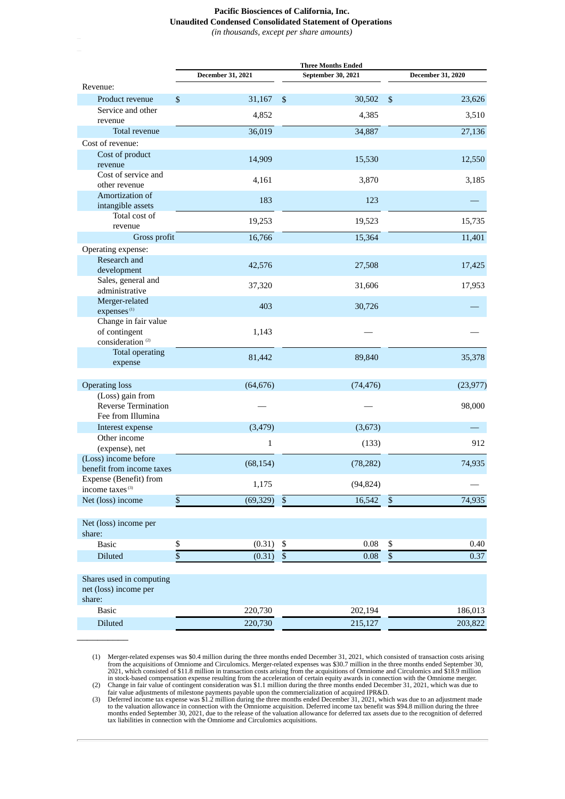## **Pacific Biosciences of California, Inc. Unaudited Condensed Consolidated Statement of Operations**

*(in thousands, except per share amounts)*

|                                                                       |                   | <b>Three Months Ended</b>           |                          |  |  |
|-----------------------------------------------------------------------|-------------------|-------------------------------------|--------------------------|--|--|
|                                                                       | December 31, 2021 | September 30, 2021                  | <b>December 31, 2020</b> |  |  |
| Revenue:                                                              |                   |                                     |                          |  |  |
| Product revenue                                                       | \$<br>31,167      | 30,502<br>$\boldsymbol{\mathsf{S}}$ | \$<br>23,626             |  |  |
| Service and other<br>revenue                                          | 4,852             | 4,385                               | 3,510                    |  |  |
| Total revenue                                                         | 36,019            | 34,887                              | 27,136                   |  |  |
| Cost of revenue:                                                      |                   |                                     |                          |  |  |
| Cost of product<br>revenue                                            | 14,909            | 15,530                              | 12,550                   |  |  |
| Cost of service and<br>other revenue                                  | 4,161             | 3,870                               | 3,185                    |  |  |
| Amortization of<br>intangible assets                                  | 183               | 123                                 |                          |  |  |
| Total cost of                                                         |                   |                                     |                          |  |  |
| revenue                                                               | 19,253            | 19,523                              | 15,735                   |  |  |
| Gross profit                                                          | 16,766            | 15,364                              | 11,401                   |  |  |
| Operating expense:                                                    |                   |                                     |                          |  |  |
| Research and<br>development                                           | 42,576            | 27,508                              | 17,425                   |  |  |
| Sales, general and<br>administrative                                  | 37,320            | 31,606                              | 17,953                   |  |  |
| Merger-related<br>expenses <sup>(1)</sup>                             | 403               | 30,726                              |                          |  |  |
| Change in fair value<br>of contingent<br>consideration <sup>(2)</sup> | 1,143             |                                     |                          |  |  |
| <b>Total operating</b><br>expense                                     | 81,442            | 89,840                              | 35,378                   |  |  |
| <b>Operating loss</b>                                                 | (64, 676)         | (74, 476)                           | (23, 977)                |  |  |
| (Loss) gain from<br><b>Reverse Termination</b>                        |                   |                                     | 98,000                   |  |  |
| Fee from Illumina                                                     |                   |                                     |                          |  |  |
| Interest expense                                                      | (3, 479)          | (3,673)                             |                          |  |  |
| Other income                                                          | $\mathbf{1}$      | (133)                               | 912                      |  |  |
| (expense), net                                                        |                   |                                     |                          |  |  |
| (Loss) income before<br>benefit from income taxes                     | (68, 154)         | (78, 282)                           | 74,935                   |  |  |
| Expense (Benefit) from                                                | 1,175             | (94, 824)                           |                          |  |  |
| income taxes <sup>(3)</sup><br>Net (loss) income                      | \$<br>(69, 329)   | $\$$<br>16,542                      | 74,935<br>$\$$           |  |  |
|                                                                       |                   |                                     |                          |  |  |
| Net (loss) income per<br>share:                                       |                   |                                     |                          |  |  |
| <b>Basic</b>                                                          | (0.31)<br>\$      | 0.08<br>\$                          | \$<br>0.40               |  |  |
| Diluted                                                               | \$<br>(0.31)      | $\overline{\$}$<br>0.08             | $\overline{\$}$<br>0.37  |  |  |
|                                                                       |                   |                                     |                          |  |  |
| Shares used in computing<br>net (loss) income per<br>share:           |                   |                                     |                          |  |  |
| <b>Basic</b>                                                          | 220,730           | 202,194                             | 186,013                  |  |  |
| Diluted                                                               | 220,730           | 215,127                             | 203,822                  |  |  |

(1) Merger-related expenses was \$0.4 million during the three months ended December 31, 2021, which consisted of transaction costs arising<br>from the acquisitions of Omnione and Circulomics. Merger-related expenses was \$30.

 $\overline{\phantom{a}}$   $\overline{\phantom{a}}$   $\overline{\phantom{a}}$   $\overline{\phantom{a}}$   $\overline{\phantom{a}}$   $\overline{\phantom{a}}$   $\overline{\phantom{a}}$   $\overline{\phantom{a}}$   $\overline{\phantom{a}}$   $\overline{\phantom{a}}$   $\overline{\phantom{a}}$   $\overline{\phantom{a}}$   $\overline{\phantom{a}}$   $\overline{\phantom{a}}$   $\overline{\phantom{a}}$   $\overline{\phantom{a}}$   $\overline{\phantom{a}}$   $\overline{\phantom{a}}$   $\overline{\$ 

tax liabilities in connection with the Omniome and Circulomics acquisitions.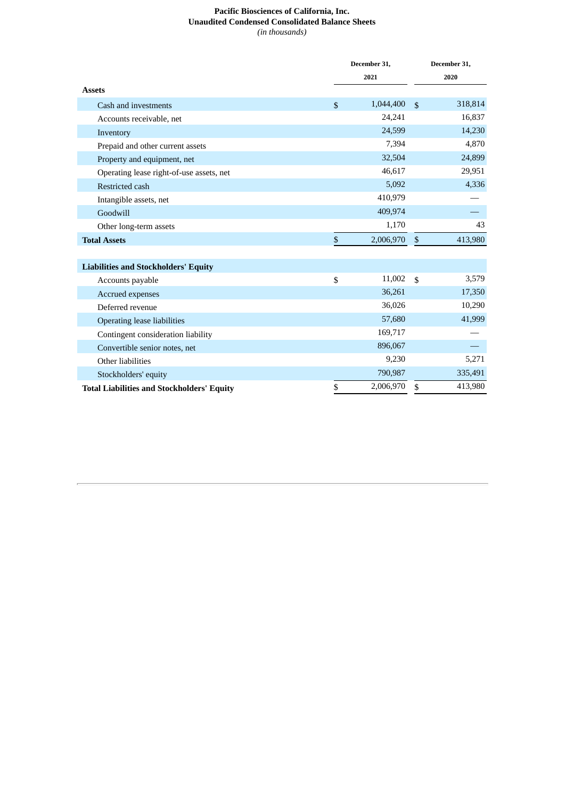# **Pacific Biosciences of California, Inc. Unaudited Condensed Consolidated Balance Sheets** *(in thousands)*

|                                                   |              | December 31, |                           | December 31, |  |
|---------------------------------------------------|--------------|--------------|---------------------------|--------------|--|
|                                                   |              | 2021         |                           | 2020         |  |
| <b>Assets</b>                                     |              |              |                           |              |  |
| Cash and investments                              | $\mathbb{S}$ | 1,044,400    | $\mathbf{\hat{S}}$        | 318,814      |  |
| Accounts receivable, net                          |              | 24,241       |                           | 16,837       |  |
| Inventory                                         |              | 24,599       |                           | 14,230       |  |
| Prepaid and other current assets                  |              | 7,394        |                           | 4,870        |  |
| Property and equipment, net                       |              | 32,504       |                           | 24,899       |  |
| Operating lease right-of-use assets, net          |              | 46,617       |                           | 29,951       |  |
| Restricted cash                                   |              | 5,092        |                           | 4,336        |  |
| Intangible assets, net                            |              | 410,979      |                           |              |  |
| Goodwill                                          |              | 409,974      |                           |              |  |
| Other long-term assets                            |              | 1,170        |                           | 43           |  |
| <b>Total Assets</b>                               | $\sqrt{2}$   | 2,006,970    | $\boldsymbol{\mathsf{S}}$ | 413,980      |  |
|                                                   |              |              |                           |              |  |
| <b>Liabilities and Stockholders' Equity</b>       |              |              |                           |              |  |
| Accounts payable                                  | \$           | 11,002       | $\mathbf{\hat{S}}$        | 3,579        |  |
| Accrued expenses                                  |              | 36,261       |                           | 17,350       |  |
| Deferred revenue                                  |              | 36,026       |                           | 10,290       |  |
| <b>Operating lease liabilities</b>                |              | 57,680       |                           | 41,999       |  |
| Contingent consideration liability                |              | 169,717      |                           |              |  |
| Convertible senior notes, net                     |              | 896,067      |                           |              |  |
| Other liabilities                                 |              | 9,230        |                           | 5,271        |  |
| Stockholders' equity                              |              | 790,987      |                           | 335,491      |  |
| <b>Total Liabilities and Stockholders' Equity</b> | \$           | 2,006,970    | \$                        | 413,980      |  |